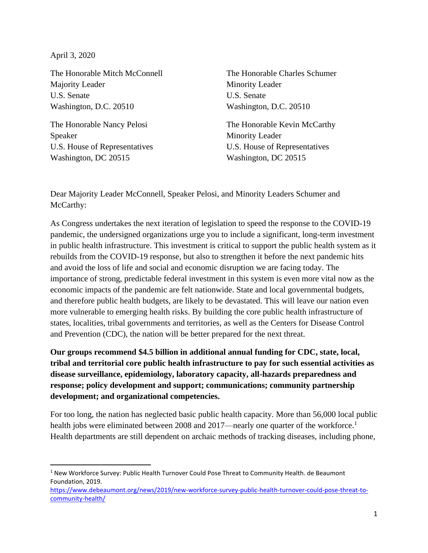April 3, 2020

The Honorable Mitch McConnell Majority Leader U.S. Senate Washington, D.C. 20510

The Honorable Nancy Pelosi Speaker U.S. House of Representatives Washington, DC 20515

The Honorable Charles Schumer Minority Leader U.S. Senate Washington, D.C. 20510

The Honorable Kevin McCarthy Minority Leader U.S. House of Representatives Washington, DC 20515

Dear Majority Leader McConnell, Speaker Pelosi, and Minority Leaders Schumer and McCarthy:

As Congress undertakes the next iteration of legislation to speed the response to the COVID-19 pandemic, the undersigned organizations urge you to include a significant, long-term investment in public health infrastructure. This investment is critical to support the public health system as it rebuilds from the COVID-19 response, but also to strengthen it before the next pandemic hits and avoid the loss of life and social and economic disruption we are facing today. The importance of strong, predictable federal investment in this system is even more vital now as the economic impacts of the pandemic are felt nationwide. State and local governmental budgets, and therefore public health budgets, are likely to be devastated. This will leave our nation even more vulnerable to emerging health risks. By building the core public health infrastructure of states, localities, tribal governments and territories, as well as the Centers for Disease Control and Prevention (CDC), the nation will be better prepared for the next threat.

**Our groups recommend \$4.5 billion in additional annual funding for CDC, state, local, tribal and territorial core public health infrastructure to pay for such essential activities as disease surveillance, epidemiology, laboratory capacity, all-hazards preparedness and response; policy development and support; communications; community partnership development; and organizational competencies.**

For too long, the nation has neglected basic public health capacity. More than 56,000 local public health jobs were eliminated between 2008 and 2017—nearly one quarter of the workforce.<sup>1</sup> Health departments are still dependent on archaic methods of tracking diseases, including phone,

<sup>&</sup>lt;sup>1</sup> New Workforce Survey: Public Health Turnover Could Pose Threat to Community Health. de Beaumont Foundation, 2019.

[https://www.debeaumont.org/news/2019/new-workforce-survey-public-health-turnover-could-pose-threat-to](https://www.debeaumont.org/news/2019/new-workforce-survey-public-health-turnover-could-pose-threat-to-community-health/)[community-health/](https://www.debeaumont.org/news/2019/new-workforce-survey-public-health-turnover-could-pose-threat-to-community-health/)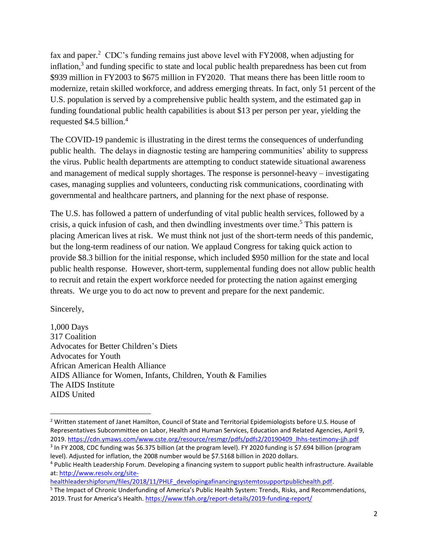fax and paper.<sup>2</sup> CDC's funding remains just above level with FY2008, when adjusting for inflation,<sup>3</sup> and funding specific to state and local public health preparedness has been cut from \$939 million in FY2003 to \$675 million in FY2020. That means there has been little room to modernize, retain skilled workforce, and address emerging threats. In fact, only 51 percent of the U.S. population is served by a comprehensive public health system, and the estimated gap in funding foundational public health capabilities is about \$13 per person per year, yielding the requested \$4.5 billion. 4

The COVID-19 pandemic is illustrating in the direst terms the consequences of underfunding public health. The delays in diagnostic testing are hampering communities' ability to suppress the virus. Public health departments are attempting to conduct statewide situational awareness and management of medical supply shortages. The response is personnel-heavy – investigating cases, managing supplies and volunteers, conducting risk communications, coordinating with governmental and healthcare partners, and planning for the next phase of response.

The U.S. has followed a pattern of underfunding of vital public health services, followed by a crisis, a quick infusion of cash, and then dwindling investments over time.<sup>5</sup> This pattern is placing American lives at risk. We must think not just of the short-term needs of this pandemic, but the long-term readiness of our nation. We applaud Congress for taking quick action to provide \$8.3 billion for the initial response, which included \$950 million for the state and local public health response. However, short-term, supplemental funding does not allow public health to recruit and retain the expert workforce needed for protecting the nation against emerging threats. We urge you to do act now to prevent and prepare for the next pandemic.

Sincerely,

1,000 Days 317 Coalition Advocates for Better Children's Diets Advocates for Youth African American Health Alliance AIDS Alliance for Women, Infants, Children, Youth & Families The AIDS Institute AIDS United

[healthleadershipforum/files/2018/11/PHLF\\_developingafinancingsystemtosupportpublichealth.pdf.](http://www.resolv.org/site-healthleadershipforum/files/2018/11/PHLF_developingafinancingsystemtosupportpublichealth.pdf)

<sup>&</sup>lt;sup>2</sup> Written statement of Janet Hamilton, Council of State and Territorial Epidemiologists before U.S. House of Representatives Subcommittee on Labor, Health and Human Services, Education and Related Agencies, April 9, 2019. [https://cdn.ymaws.com/www.cste.org/resource/resmgr/pdfs/pdfs2/20190409\\_lhhs-testimony-jjh.pdf](https://cdn.ymaws.com/www.cste.org/resource/resmgr/pdfs/pdfs2/20190409_lhhs-testimony-jjh.pdf)

<sup>&</sup>lt;sup>3</sup> In FY 2008, CDC funding was \$6.375 billion (at the program level). FY 2020 funding is \$7.694 billion (program level). Adjusted for inflation, the 2008 number would be \$7.5168 billion in 2020 dollars.

<sup>4</sup> Public Health Leadership Forum. Developing a financing system to support public health infrastructure. Available at: [http://www.resolv.org/site-](http://www.resolv.org/site-healthleadershipforum/files/2018/11/PHLF_developingafinancingsystemtosupportpublichealth.pdf)

<sup>5</sup> The Impact of Chronic Underfunding of America's Public Health System: Trends, Risks, and Recommendations, 2019. Trust for America's Health. <https://www.tfah.org/report-details/2019-funding-report/>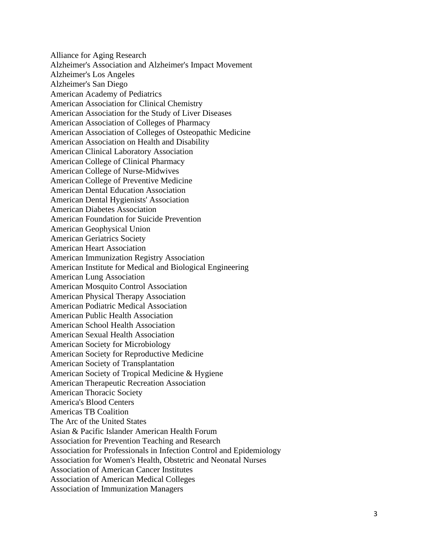Alliance for Aging Research Alzheimer's Association and Alzheimer's Impact Movement Alzheimer's Los Angeles Alzheimer's San Diego American Academy of Pediatrics American Association for Clinical Chemistry American Association for the Study of Liver Diseases American Association of Colleges of Pharmacy American Association of Colleges of Osteopathic Medicine American Association on Health and Disability American Clinical Laboratory Association American College of Clinical Pharmacy American College of Nurse-Midwives American College of Preventive Medicine American Dental Education Association American Dental Hygienists' Association American Diabetes Association American Foundation for Suicide Prevention American Geophysical Union American Geriatrics Society American Heart Association American Immunization Registry Association American Institute for Medical and Biological Engineering American Lung Association American Mosquito Control Association American Physical Therapy Association American Podiatric Medical Association American Public Health Association American School Health Association American Sexual Health Association American Society for Microbiology American Society for Reproductive Medicine American Society of Transplantation American Society of Tropical Medicine & Hygiene American Therapeutic Recreation Association American Thoracic Society America's Blood Centers Americas TB Coalition The Arc of the United States Asian & Pacific Islander American Health Forum Association for Prevention Teaching and Research Association for Professionals in Infection Control and Epidemiology Association for Women's Health, Obstetric and Neonatal Nurses Association of American Cancer Institutes Association of American Medical Colleges Association of Immunization Managers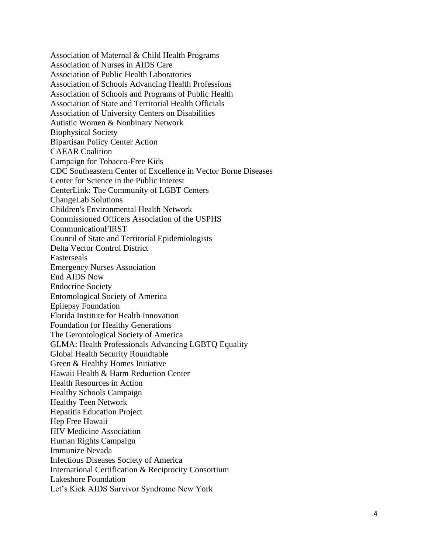Association of Maternal & Child Health Programs Association of Nurses in AIDS Care Association of Public Health Laboratories Association of Schools Advancing Health Professions Association of Schools and Programs of Public Health Association of State and Territorial Health Officials Association of University Centers on Disabilities Autistic Women & Nonbinary Network Biophysical Society Bipartisan Policy Center Action CAEAR Coalition Campaign for Tobacco-Free Kids CDC Southeastern Center of Excellence in Vector Borne Diseases Center for Science in the Public Interest CenterLink: The Community of LGBT Centers ChangeLab Solutions Children's Environmental Health Network Commissioned Officers Association of the USPHS CommunicationFIRST Council of State and Territorial Epidemiologists Delta Vector Control District Easterseals Emergency Nurses Association End AIDS Now Endocrine Society Entomological Society of America Epilepsy Foundation Florida Institute for Health Innovation Foundation for Healthy Generations The Gerontological Society of America GLMA: Health Professionals Advancing LGBTQ Equality Global Health Security Roundtable Green & Healthy Homes Initiative Hawaii Health & Harm Reduction Center Health Resources in Action Healthy Schools Campaign Healthy Teen Network Hepatitis Education Project Hep Free Hawaii HIV Medicine Association Human Rights Campaign Immunize Nevada Infectious Diseases Society of America International Certification & Reciprocity Consortium Lakeshore Foundation Let's Kick AIDS Survivor Syndrome New York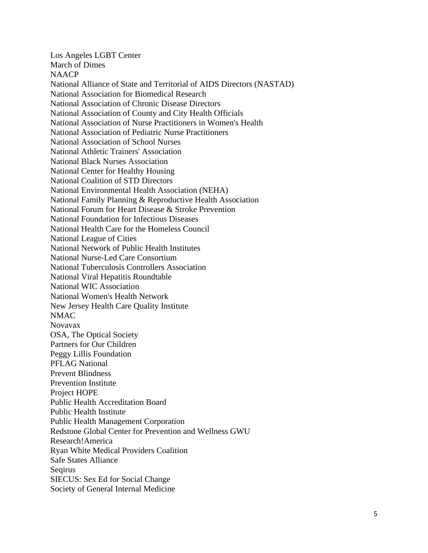Los Angeles LGBT Center March of Dimes NAACP National Alliance of State and Territorial of AIDS Directors (NASTAD) National Association for Biomedical Research National Association of Chronic Disease Directors National Association of County and City Health Officials National Association of Nurse Practitioners in Women's Health National Association of Pediatric Nurse Practitioners National Association of School Nurses National Athletic Trainers' Association National Black Nurses Association National Center for Healthy Housing National Coalition of STD Directors National Environmental Health Association (NEHA) National Family Planning & Reproductive Health Association National Forum for Heart Disease & Stroke Prevention National Foundation for Infectious Diseases National Health Care for the Homeless Council National League of Cities National Network of Public Health Institutes National Nurse-Led Care Consortium National Tuberculosis Controllers Association National Viral Hepatitis Roundtable National WIC Association National Women's Health Network New Jersey Health Care Quality Institute NMAC Novavax OSA, The Optical Society Partners for Our Children Peggy Lillis Foundation PFLAG National Prevent Blindness Prevention Institute Project HOPE Public Health Accreditation Board Public Health Institute Public Health Management Corporation Redstone Global Center for Prevention and Wellness GWU Research!America Ryan White Medical Providers Coalition Safe States Alliance Seqirus SIECUS: Sex Ed for Social Change Society of General Internal Medicine